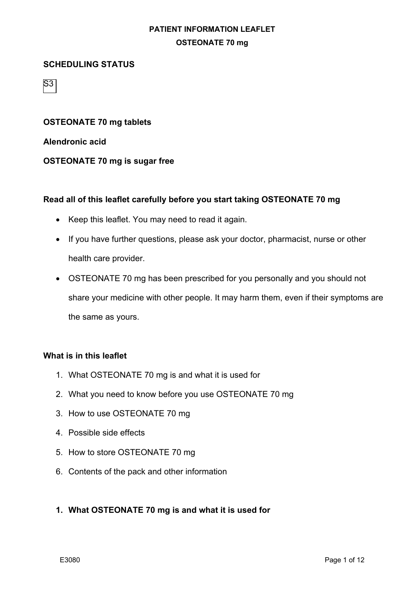#### **SCHEDULING STATUS**

S3

**OSTEONATE 70 mg tablets**

**Alendronic acid**

#### **OSTEONATE 70 mg is sugar free**

#### **Read all of this leaflet carefully before you start taking OSTEONATE 70 mg**

- Keep this leaflet. You may need to read it again.
- If you have further questions, please ask your doctor, pharmacist, nurse or other health care provider.
- OSTEONATE 70 mg has been prescribed for you personally and you should not share your medicine with other people. It may harm them, even if their symptoms are the same as yours.

#### **What is in this leaflet**

- 1. What OSTEONATE 70 mg is and what it is used for
- 2. What you need to know before you use OSTEONATE 70 mg
- 3. How to use OSTEONATE 70 mg
- 4. Possible side effects
- 5. How to store OSTEONATE 70 mg
- 6. Contents of the pack and other information

### **1. What OSTEONATE 70 mg is and what it is used for**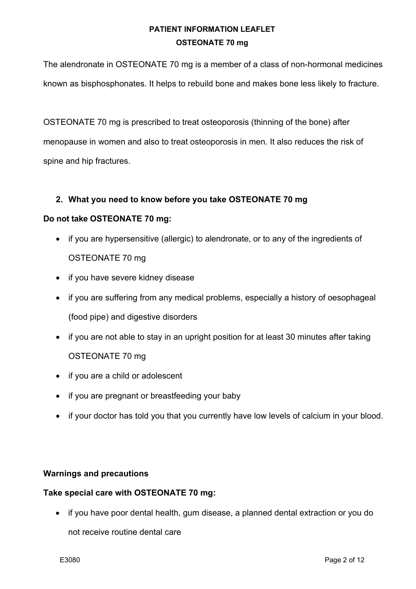The alendronate in OSTEONATE 70 mg is a member of a class of non-hormonal medicines known as bisphosphonates. It helps to rebuild bone and makes bone less likely to fracture.

OSTEONATE 70 mg is prescribed to treat osteoporosis (thinning of the bone) after menopause in women and also to treat osteoporosis in men. It also reduces the risk of spine and hip fractures.

## **2. What you need to know before you take OSTEONATE 70 mg**

### **Do not take OSTEONATE 70 mg:**

- if you are hypersensitive (allergic) to alendronate, or to any of the ingredients of OSTEONATE 70 mg
- if you have severe kidney disease
- if you are suffering from any medical problems, especially a history of oesophageal (food pipe) and digestive disorders
- if you are not able to stay in an upright position for at least 30 minutes after taking OSTEONATE 70 mg
- if you are a child or adolescent
- if you are pregnant or breastfeeding your baby
- if your doctor has told you that you currently have low levels of calcium in your blood.

### **Warnings and precautions**

### **Take special care with OSTEONATE 70 mg:**

• if you have poor dental health, gum disease, a planned dental extraction or you do not receive routine dental care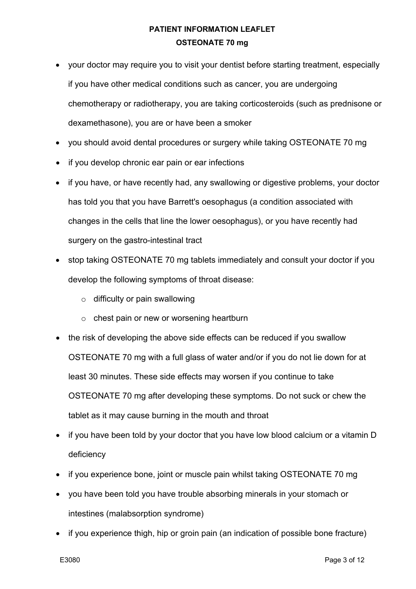- your doctor may require you to visit your dentist before starting treatment, especially if you have other medical conditions such as cancer, you are undergoing chemotherapy or radiotherapy, you are taking corticosteroids (such as prednisone or dexamethasone), you are or have been a smoker
- you should avoid dental procedures or surgery while taking OSTEONATE 70 mg
- if you develop chronic ear pain or ear infections
- if you have, or have recently had, any swallowing or digestive problems, your doctor has told you that you have Barrett's oesophagus (a condition associated with changes in the cells that line the lower oesophagus), or you have recently had surgery on the gastro-intestinal tract
- stop taking OSTEONATE 70 mg tablets immediately and consult your doctor if you develop the following symptoms of throat disease:
	- $\circ$  difficulty or pain swallowing
	- o chest pain or new or worsening heartburn
- the risk of developing the above side effects can be reduced if you swallow OSTEONATE 70 mg with a full glass of water and/or if you do not lie down for at least 30 minutes. These side effects may worsen if you continue to take OSTEONATE 70 mg after developing these symptoms. Do not suck or chew the tablet as it may cause burning in the mouth and throat
- if you have been told by your doctor that you have low blood calcium or a vitamin D deficiency
- if you experience bone, joint or muscle pain whilst taking OSTEONATE 70 mg
- you have been told you have trouble absorbing minerals in your stomach or intestines (malabsorption syndrome)
- if you experience thigh, hip or groin pain (an indication of possible bone fracture)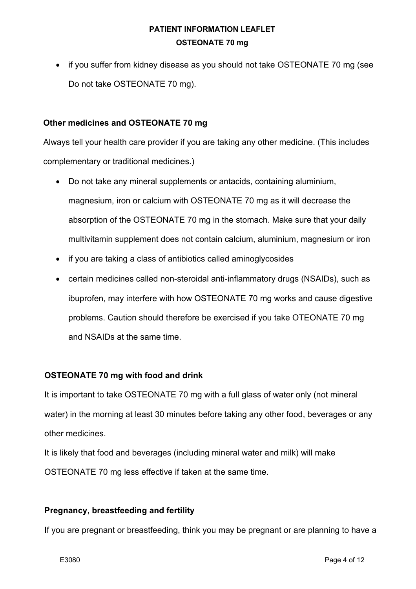• if you suffer from kidney disease as you should not take OSTEONATE 70 mg (see Do not take OSTEONATE 70 mg).

### **Other medicines and OSTEONATE 70 mg**

Always tell your health care provider if you are taking any other medicine. (This includes complementary or traditional medicines.)

- Do not take any mineral supplements or antacids, containing aluminium, magnesium, iron or calcium with OSTEONATE 70 mg as it will decrease the absorption of the OSTEONATE 70 mg in the stomach. Make sure that your daily multivitamin supplement does not contain calcium, aluminium, magnesium or iron
- if you are taking a class of antibiotics called aminoglycosides
- certain medicines called non-steroidal anti-inflammatory drugs (NSAIDs), such as ibuprofen, may interfere with how OSTEONATE 70 mg works and cause digestive problems. Caution should therefore be exercised if you take OTEONATE 70 mg and NSAIDs at the same time.

### **OSTEONATE 70 mg with food and drink**

It is important to take OSTEONATE 70 mg with a full glass of water only (not mineral water) in the morning at least 30 minutes before taking any other food, beverages or any other medicines.

It is likely that food and beverages (including mineral water and milk) will make OSTEONATE 70 mg less effective if taken at the same time.

### **Pregnancy, breastfeeding and fertility**

If you are pregnant or breastfeeding, think you may be pregnant or are planning to have a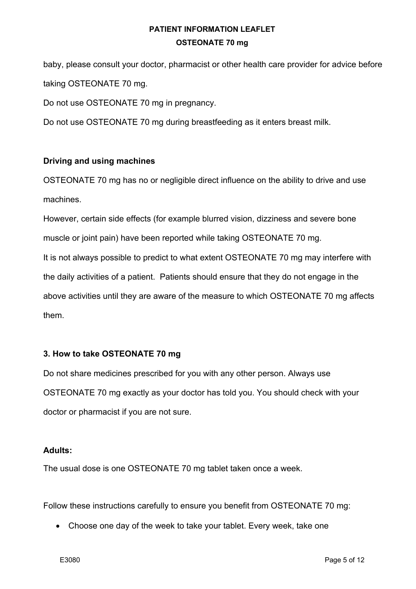baby, please consult your doctor, pharmacist or other health care provider for advice before taking OSTEONATE 70 mg.

Do not use OSTEONATE 70 mg in pregnancy.

Do not use OSTEONATE 70 mg during breastfeeding as it enters breast milk.

## **Driving and using machines**

OSTEONATE 70 mg has no or negligible direct influence on the ability to drive and use machines.

However, certain side effects (for example blurred vision, dizziness and severe bone muscle or joint pain) have been reported while taking OSTEONATE 70 mg. It is not always possible to predict to what extent OSTEONATE 70 mg may interfere with the daily activities of a patient. Patients should ensure that they do not engage in the above activities until they are aware of the measure to which OSTEONATE 70 mg affects them.

## **3. How to take OSTEONATE 70 mg**

Do not share medicines prescribed for you with any other person. Always use OSTEONATE 70 mg exactly as your doctor has told you. You should check with your doctor or pharmacist if you are not sure.

### **Adults:**

The usual dose is one OSTEONATE 70 mg tablet taken once a week.

Follow these instructions carefully to ensure you benefit from OSTEONATE 70 mg:

• Choose one day of the week to take your tablet. Every week, take one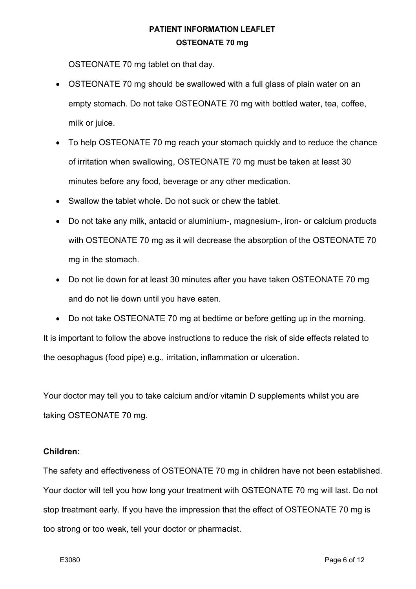OSTEONATE 70 mg tablet on that day.

- OSTEONATE 70 mg should be swallowed with a full glass of plain water on an empty stomach. Do not take OSTEONATE 70 mg with bottled water, tea, coffee, milk or juice.
- To help OSTEONATE 70 mg reach your stomach quickly and to reduce the chance of irritation when swallowing, OSTEONATE 70 mg must be taken at least 30 minutes before any food, beverage or any other medication.
- Swallow the tablet whole. Do not suck or chew the tablet.
- Do not take any milk, antacid or aluminium-, magnesium-, iron- or calcium products with OSTEONATE 70 mg as it will decrease the absorption of the OSTEONATE 70 mg in the stomach.
- Do not lie down for at least 30 minutes after you have taken OSTEONATE 70 mg and do not lie down until you have eaten.
- Do not take OSTEONATE 70 mg at bedtime or before getting up in the morning.

It is important to follow the above instructions to reduce the risk of side effects related to the oesophagus (food pipe) e.g., irritation, inflammation or ulceration.

Your doctor may tell you to take calcium and/or vitamin D supplements whilst you are taking OSTEONATE 70 mg.

### **Children:**

The safety and effectiveness of OSTEONATE 70 mg in children have not been established. Your doctor will tell you how long your treatment with OSTEONATE 70 mg will last. Do not stop treatment early. If you have the impression that the effect of OSTEONATE 70 mg is too strong or too weak, tell your doctor or pharmacist.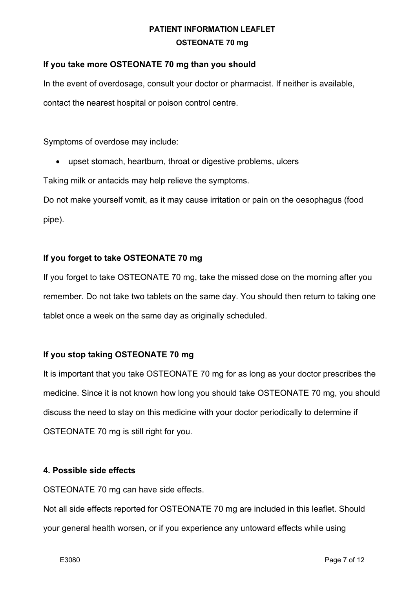## **If you take more OSTEONATE 70 mg than you should**

In the event of overdosage, consult your doctor or pharmacist. If neither is available, contact the nearest hospital or poison control centre.

Symptoms of overdose may include:

• upset stomach, heartburn, throat or digestive problems, ulcers

Taking milk or antacids may help relieve the symptoms.

Do not make yourself vomit, as it may cause irritation or pain on the oesophagus (food pipe).

## **If you forget to take OSTEONATE 70 mg**

If you forget to take OSTEONATE 70 mg, take the missed dose on the morning after you remember. Do not take two tablets on the same day. You should then return to taking one tablet once a week on the same day as originally scheduled.

### **If you stop taking OSTEONATE 70 mg**

It is important that you take OSTEONATE 70 mg for as long as your doctor prescribes the medicine. Since it is not known how long you should take OSTEONATE 70 mg, you should discuss the need to stay on this medicine with your doctor periodically to determine if OSTEONATE 70 mg is still right for you.

### **4. Possible side effects**

OSTEONATE 70 mg can have side effects.

Not all side effects reported for OSTEONATE 70 mg are included in this leaflet. Should your general health worsen, or if you experience any untoward effects while using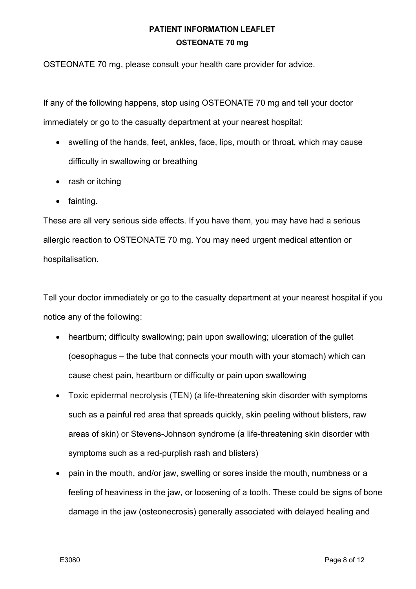OSTEONATE 70 mg, please consult your health care provider for advice.

If any of the following happens, stop using OSTEONATE 70 mg and tell your doctor immediately or go to the casualty department at your nearest hospital:

- swelling of the hands, feet, ankles, face, lips, mouth or throat, which may cause difficulty in swallowing or breathing
- rash or itching
- fainting.

These are all very serious side effects. If you have them, you may have had a serious allergic reaction to OSTEONATE 70 mg. You may need urgent medical attention or hospitalisation.

Tell your doctor immediately or go to the casualty department at your nearest hospital if you notice any of the following:

- heartburn; difficulty swallowing; pain upon swallowing; ulceration of the gullet (oesophagus – the tube that connects your mouth with your stomach) which can cause chest pain, heartburn or difficulty or pain upon swallowing
- Toxic epidermal necrolysis (TEN) (a life-threatening skin disorder with symptoms such as a painful red area that spreads quickly, skin peeling without blisters, raw areas of skin) or Stevens-Johnson syndrome (a life-threatening skin disorder with symptoms such as a red-purplish rash and blisters)
- pain in the mouth, and/or jaw, swelling or sores inside the mouth, numbness or a feeling of heaviness in the jaw, or loosening of a tooth. These could be signs of bone damage in the jaw (osteonecrosis) generally associated with delayed healing and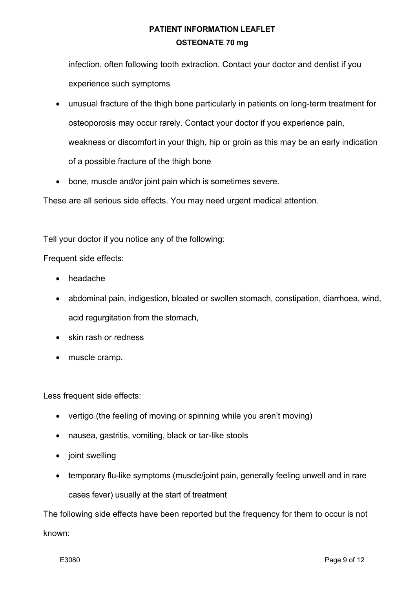infection, often following tooth extraction. Contact your doctor and dentist if you experience such symptoms

- unusual fracture of the thigh bone particularly in patients on long-term treatment for osteoporosis may occur rarely. Contact your doctor if you experience pain, weakness or discomfort in your thigh, hip or groin as this may be an early indication of a possible fracture of the thigh bone
- bone, muscle and/or joint pain which is sometimes severe.

These are all serious side effects. You may need urgent medical attention.

Tell your doctor if you notice any of the following:

Frequent side effects:

- headache
- abdominal pain, indigestion, bloated or swollen stomach, constipation, diarrhoea, wind, acid regurgitation from the stomach,
- skin rash or redness
- muscle cramp.

Less frequent side effects:

- vertigo (the feeling of moving or spinning while you aren't moving)
- nausea, gastritis, vomiting, black or tar-like stools
- joint swelling
- temporary flu-like symptoms (muscle/joint pain, generally feeling unwell and in rare cases fever) usually at the start of treatment

The following side effects have been reported but the frequency for them to occur is not known: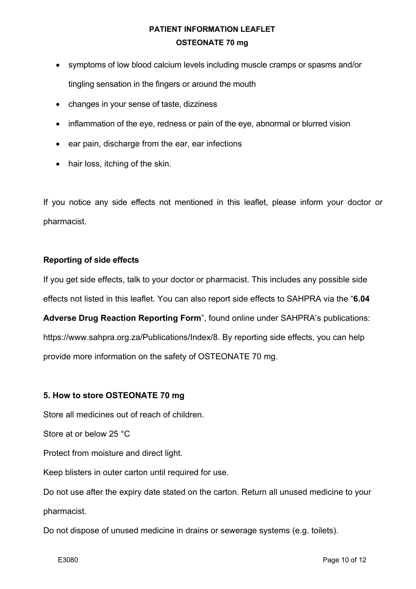- symptoms of low blood calcium levels including muscle cramps or spasms and/or tingling sensation in the fingers or around the mouth
- changes in your sense of taste, dizziness
- inflammation of the eye, redness or pain of the eye, abnormal or blurred vision
- ear pain, discharge from the ear, ear infections
- hair loss, itching of the skin.

If you notice any side effects not mentioned in this leaflet, please inform your doctor or pharmacist.

## **Reporting of side effects**

If you get side effects, talk to your doctor or pharmacist. This includes any possible side effects not listed in this leaflet. You can also report side effects to SAHPRA via the "**6.04** 

**Adverse Drug Reaction Reporting Form**", found online under SAHPRA's publications: https://www.sahpra.org.za/Publications/Index/8. By reporting side effects, you can help provide more information on the safety of OSTEONATE 70 mg.

## **5. How to store OSTEONATE 70 mg**

Store all medicines out of reach of children.

Store at or below 25 °C

Protect from moisture and direct light.

Keep blisters in outer carton until required for use.

Do not use after the expiry date stated on the carton. Return all unused medicine to your pharmacist.

Do not dispose of unused medicine in drains or sewerage systems (e.g. toilets).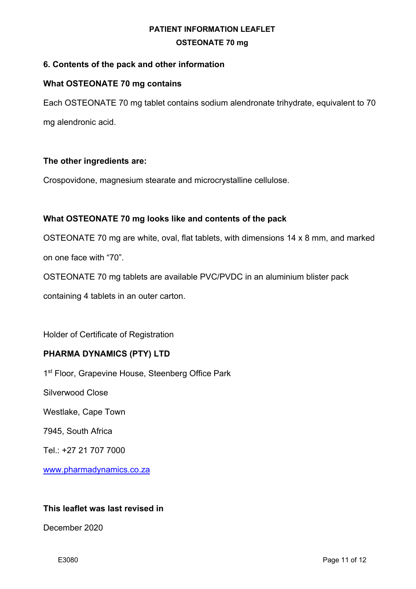## **6. Contents of the pack and other information**

## **What OSTEONATE 70 mg contains**

Each OSTEONATE 70 mg tablet contains sodium alendronate trihydrate, equivalent to 70 mg alendronic acid.

## **The other ingredients are:**

Crospovidone, magnesium stearate and microcrystalline cellulose.

## **What OSTEONATE 70 mg looks like and contents of the pack**

OSTEONATE 70 mg are white, oval, flat tablets, with dimensions 14 x 8 mm, and marked on one face with "70".

OSTEONATE 70 mg tablets are available PVC/PVDC in an aluminium blister pack

containing 4 tablets in an outer carton.

Holder of Certificate of Registration

## **PHARMA DYNAMICS (PTY) LTD**

1<sup>st</sup> Floor, Grapevine House, Steenberg Office Park

Silverwood Close

Westlake, Cape Town

7945, South Africa

Tel.: +27 21 707 7000

www.pharmadynamics.co.za

### **This leaflet was last revised in**

December 2020